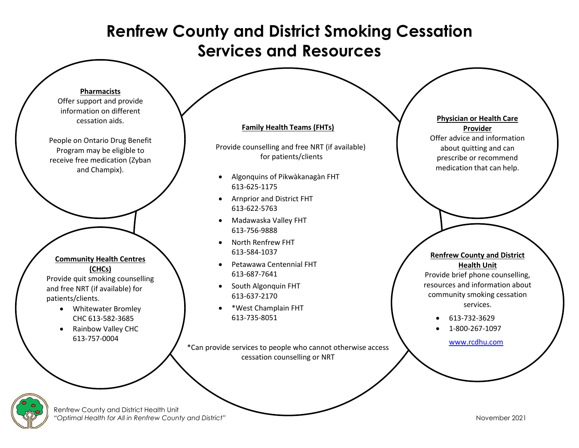# **Renfrew County and District Smoking Cessation Services and Resources**



Offer support and provide information on different cessation aids.

People on Ontario Drug Benefit Program may be eligible to receive free medication (Zyban and Champix).

## **Community Health Centres (CHCs)**

Provide quit smoking counselling and free NRT (if available) for patients/clients.

- Whitewater Bromley CHC 613-582-3685
- Rainbow Valley CHC 613-757-0004

### **Family Health Teams (FHTs)**

Provide counselling and free NRT (if available) for patients/clients

- Algonquins of Pikwàkanagàn FHT 613-625-1175
- Arnprior and District FHT 613-622-5763
- Madawaska Valley FHT 613-756-9888
- North Renfrew FHT 613-584-1037
- Petawawa Centennial FHT 613-687-7641
- South Algonquin FHT 613-637-2170
- \*West Champlain FHT 613-735-8051

\*Can provide services to people who cannot otherwise access cessation counselling or NRT

## **Physician or Health Care Provider** Offer advice and information

about quitting and can prescribe or recommend medication that can help.

### **Renfrew County and District Health Unit**

Provide brief phone counselling, resources and information about community smoking cessation services.

- 613-732-3629
- 1-800-267-1097

[www.rcdhu.com](https://www.rcdhu.com/)



Renfrew County and District Health Unit *"Optimal Health for All in Renfrew County and District"* November 2021